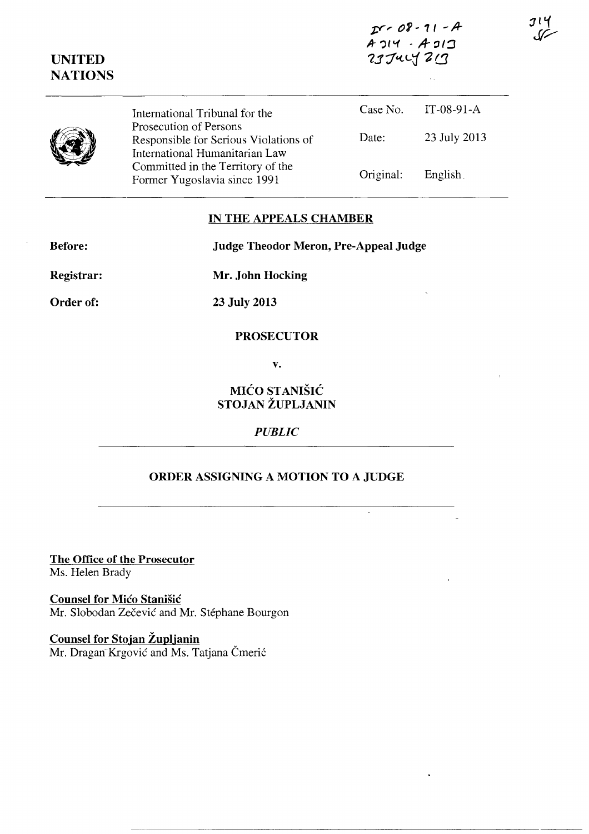| $25 - 08 - 11 - A$  |  |
|---------------------|--|
| $A$ $114 - A$ $311$ |  |
| 237427213           |  |

| <b>NATIONS</b> |                                                                                                   |           | $\sim$ $_{\star}$ |
|----------------|---------------------------------------------------------------------------------------------------|-----------|-------------------|
|                | International Tribunal for the                                                                    | Case No.  | IT-08-91- $A$     |
|                | Prosecution of Persons<br>Responsible for Serious Violations of<br>International Humanitarian Law | Date:     | 23 July 2013      |
|                | Committed in the Territory of the<br>Former Yugoslavia since 1991                                 | Original: | English           |

## IN THE APPEALS CHAMBER

**Judge Theodor Meron, Pre-Appeal Judge** 

**Before:** 

**UNITED** 

Registrar:

Order of:

23 July 2013

Mr. John Hocking

## **PROSECUTOR**

 $\mathbf{v}$ .

MIĆO STANIŠIĆ STOJAN ŽUPLJANIN

## **PUBLIC**

## ORDER ASSIGNING A MOTION TO A JUDGE

The Office of the Prosecutor Ms. Helen Brady

**Counsel for Mico Stanišić** Mr. Slobodan Zečević and Mr. Stéphane Bourgon

**Counsel for Stojan Župljanin** Mr. Dragan Krgović and Ms. Tatjana Čmerić